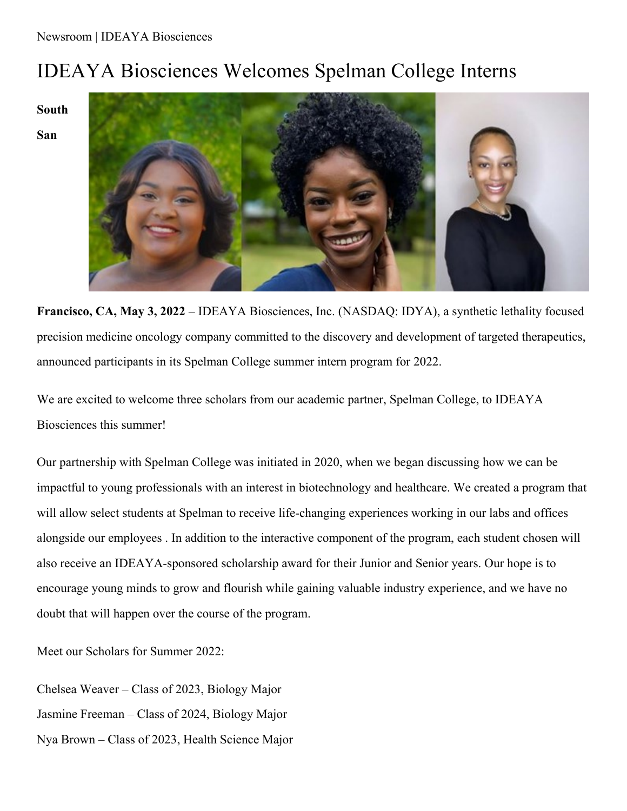## IDEAYA Biosciences Welcomes Spelman College Interns

**South San**



**Francisco, CA, May 3, 2022** – IDEAYA Biosciences, Inc. (NASDAQ: IDYA), a synthetic lethality focused precision medicine oncology company committed to the discovery and development of targeted therapeutics, announced participants in its Spelman College summer intern program for 2022.

We are excited to welcome three scholars from our academic partner, Spelman College, to IDEAYA Biosciences this summer!

Our partnership with Spelman College was initiated in 2020, when we began discussing how we can be impactful to young professionals with an interest in biotechnology and healthcare. We created a program that will allow select students at Spelman to receive life-changing experiences working in our labs and offices alongside our employees . In addition to the interactive component of the program, each student chosen will also receive an IDEAYA-sponsored scholarship award for their Junior and Senior years. Our hope is to encourage young minds to grow and flourish while gaining valuable industry experience, and we have no doubt that will happen over the course of the program.

Meet our Scholars for Summer 2022:

Chelsea Weaver – Class of 2023, Biology Major Jasmine Freeman – Class of 2024, Biology Major Nya Brown – Class of 2023, Health Science Major